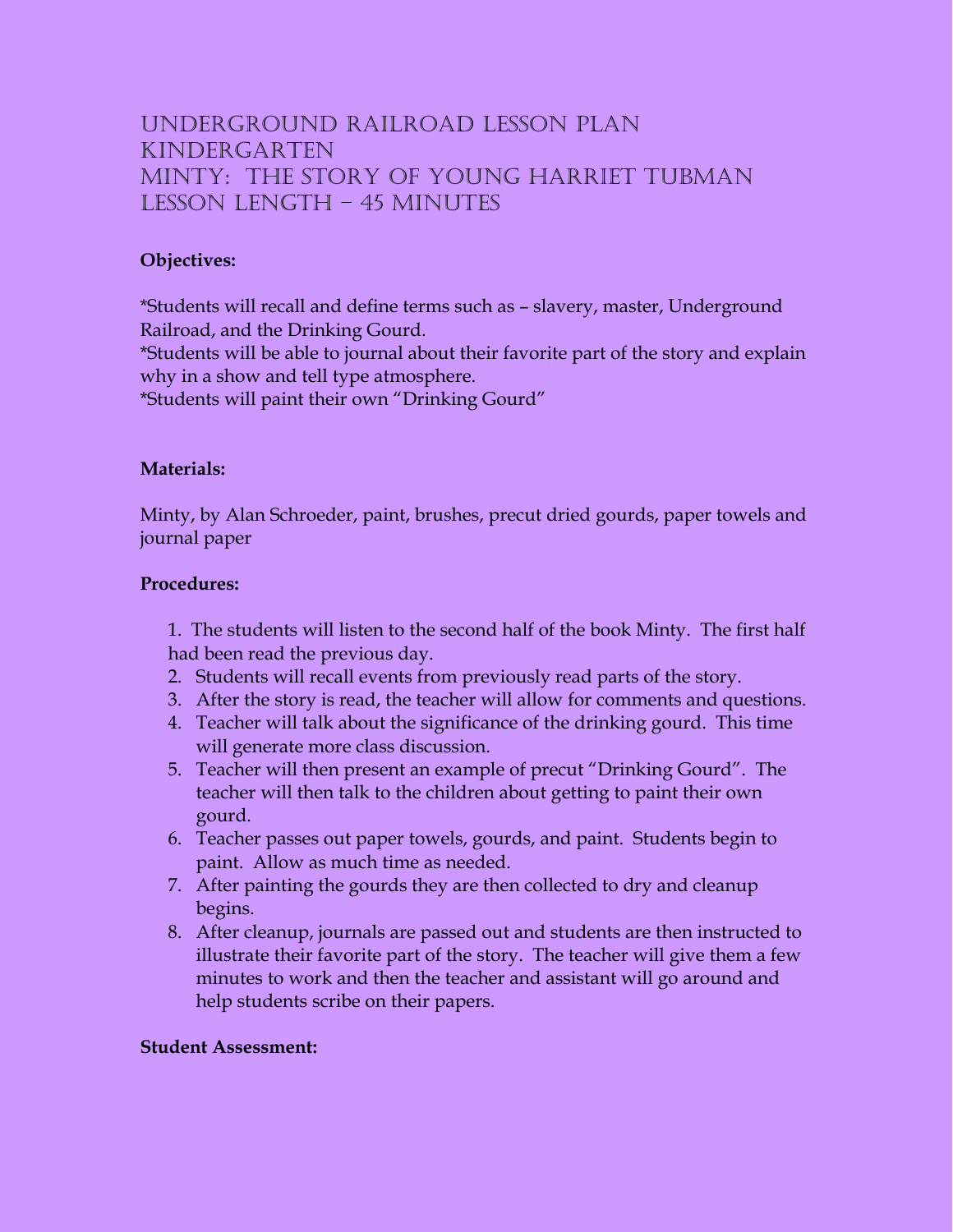# Underground Railroad Lesson Plan Kindergarten Minty: The Story of Young Harriet Tubman Lesson Length – 45 minutes

## **Objectives:**

\*Students will recall and define terms such as – slavery, master, Underground Railroad, and the Drinking Gourd.

\*Students will be able to journal about their favorite part of the story and explain why in a show and tell type atmosphere.

\*Students will paint their own "Drinking Gourd"

## **Materials:**

Minty, by Alan Schroeder, paint, brushes, precut dried gourds, paper towels and journal paper

## **Procedures:**

1. The students will listen to the second half of the book Minty. The first half had been read the previous day.

- 2. Students will recall events from previously read parts of the story.
- 3. After the story is read, the teacher will allow for comments and questions.
- 4. Teacher will talk about the significance of the drinking gourd. This time will generate more class discussion.
- 5. Teacher will then present an example of precut "Drinking Gourd". The teacher will then talk to the children about getting to paint their own gourd.
- 6. Teacher passes out paper towels, gourds, and paint. Students begin to paint. Allow as much time as needed.
- 7. After painting the gourds they are then collected to dry and cleanup begins.
- 8. After cleanup, journals are passed out and students are then instructed to illustrate their favorite part of the story. The teacher will give them a few minutes to work and then the teacher and assistant will go around and help students scribe on their papers.

### **Student Assessment:**